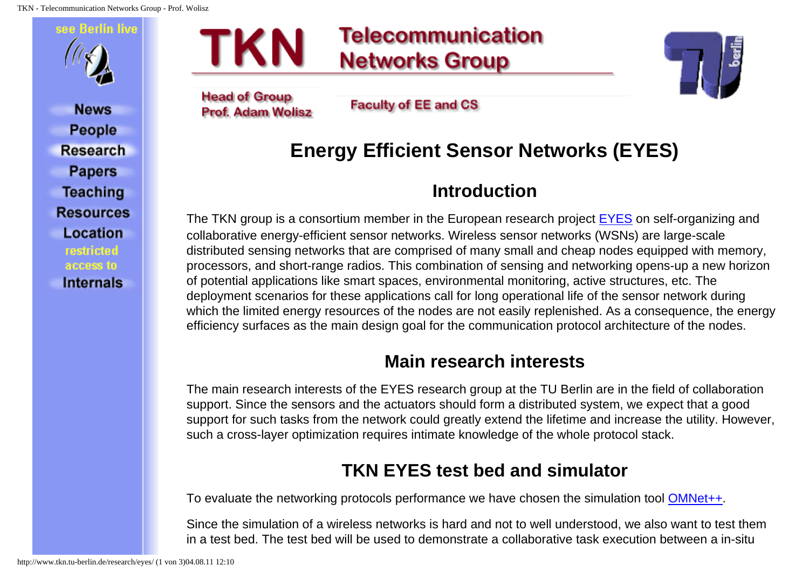TKN - Telecommunication Networks Group - Prof. Wolisz



**News People Research Papers Teaching Resources Location** restricted access to **Internals** 

# **Telecommunication Networks Group**

**Head of Group Prof. Adam Wolisz** 

TKN

**Faculty of EE and CS** 

## **Energy Efficient Sensor Networks (EYES)**

### **Introduction**

The TKN group is a consortium member in the European research project [EYES](http://www.eyes.eu.org/) on self-organizing and collaborative energy-efficient sensor networks. Wireless sensor networks (WSNs) are large-scale distributed sensing networks that are comprised of many small and cheap nodes equipped with memory, processors, and short-range radios. This combination of sensing and networking opens-up a new horizon of potential applications like smart spaces, environmental monitoring, active structures, etc. The deployment scenarios for these applications call for long operational life of the sensor network during which the limited energy resources of the nodes are not easily replenished. As a consequence, the energy efficiency surfaces as the main design goal for the communication protocol architecture of the nodes.

#### **Main research interests**

The main research interests of the EYES research group at the TU Berlin are in the field of collaboration support. Since the sensors and the actuators should form a distributed system, we expect that a good support for such tasks from the network could greatly extend the lifetime and increase the utility. However, such a cross-layer optimization requires intimate knowledge of the whole protocol stack.

### **TKN EYES test bed and simulator**

To evaluate the networking protocols performance we have chosen the simulation tool [OMNet++](http://whale.hit.bme.hu/omnetpp).

Since the simulation of a wireless networks is hard and not to well understood, we also want to test them in a test bed. The test bed will be used to demonstrate a collaborative task execution between a in-situ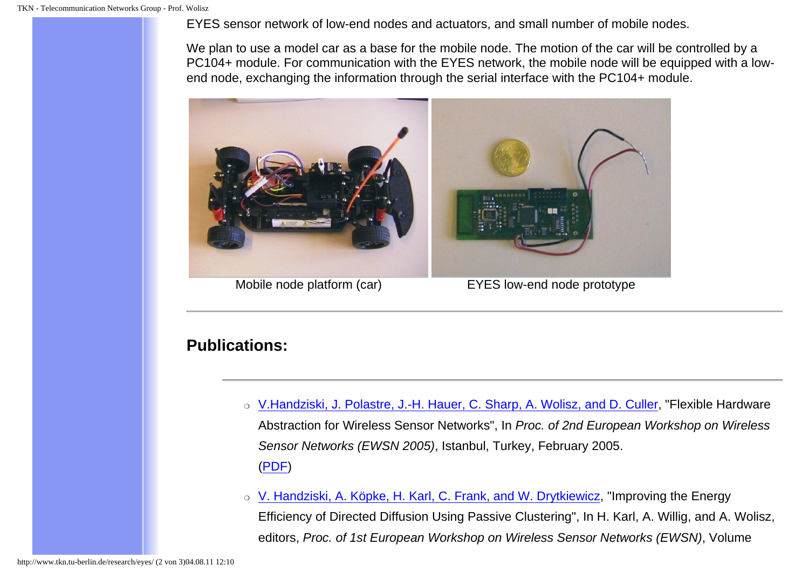EYES sensor network of low-end nodes and actuators, and small number of mobile nodes.

We plan to use a model car as a base for the mobile node. The motion of the car will be controlled by a PC104+ module. For communication with the EYES network, the mobile node will be equipped with a lowend node, exchanging the information through the serial interface with the PC104+ module.



Mobile node platform (car) EYES low-end node prototype

#### **Publications:**

- ❍ [V.Handziski, J. Polastre, J.-H. Hauer, C. Sharp, A. Wolisz, and D. Culler,](mailto:handzisk@tkn.tu-berlin.de) "Flexible Hardware Abstraction for Wireless Sensor Networks", In Proc. of 2nd European Workshop on Wireless Sensor Networks (EWSN 2005), Istanbul, Turkey, February 2005. [\(PDF](http://www.tkn.tu-berlin.de/publications/papers/flexible_hardware_abstraction.pdf))
- o [V. Handziski, A. Köpke, H. Karl, C. Frank, and W. Drytkiewicz,](mailto:handzisk@tkn.tu-berlin.de) "Improving the Energy Efficiency of Directed Diffusion Using Passive Clustering", In H. Karl, A. Willig, and A. Wolisz, editors, Proc. of 1st European Workshop on Wireless Sensor Networks (EWSN), Volume